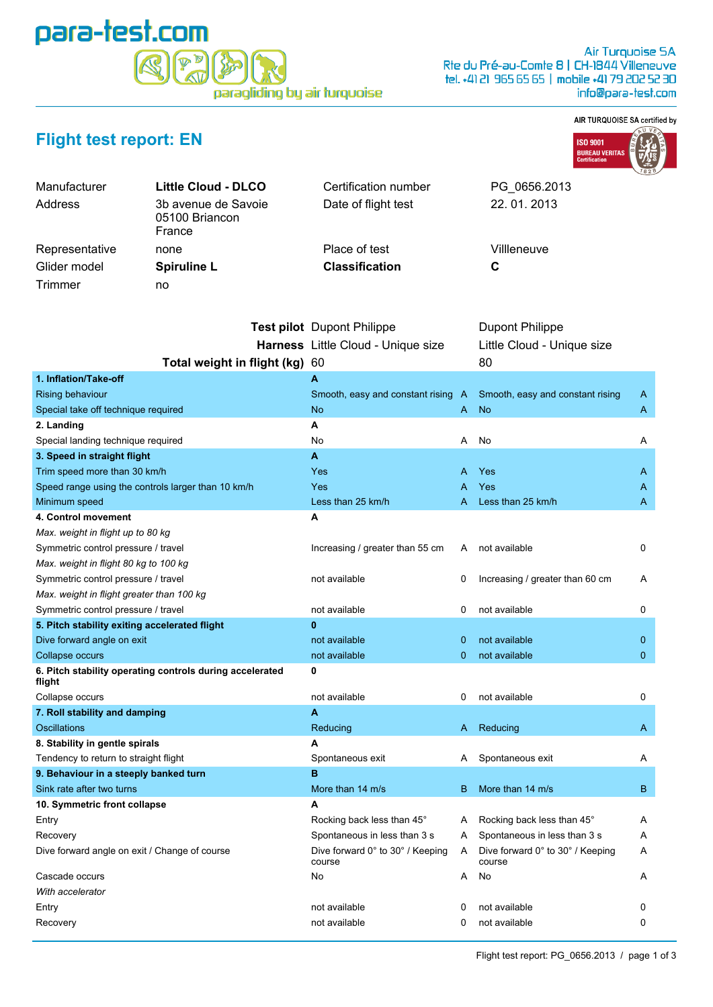## para-test.com  $\mathbb{D}$  is paragliding by air turquoise

PG\_0656.2013

22. 01. 2013

Villleneuve

## AIR TURQUOISE SA certified by



## **Flight test report: EN**

| Manufacturer   | <b>Little Cloud - DLCO</b>                      | Certification number  | P           |
|----------------|-------------------------------------------------|-----------------------|-------------|
| Address        | 3b avenue de Savoie<br>05100 Briancon<br>France | Date of flight test   | $2^{\circ}$ |
| Representative | none                                            | Place of test         | V           |
| Glider model   | <b>Spiruline L</b>                              | <b>Classification</b> | C           |
| Trimmer        | no                                              |                       |             |
|                |                                                 |                       |             |

|                                                                    | <b>Test pilot</b> Dupont Philippe          |    | <b>Dupont Philippe</b>                     |              |
|--------------------------------------------------------------------|--------------------------------------------|----|--------------------------------------------|--------------|
|                                                                    | Harness Little Cloud - Unique size         |    | Little Cloud - Unique size                 |              |
| Total weight in flight (kg) 60                                     |                                            |    | 80                                         |              |
| 1. Inflation/Take-off                                              | A                                          |    |                                            |              |
| <b>Rising behaviour</b>                                            | Smooth, easy and constant rising A         |    | Smooth, easy and constant rising           | A            |
| Special take off technique required                                | <b>No</b>                                  | A  | <b>No</b>                                  | A            |
| 2. Landing                                                         | А                                          |    |                                            |              |
| Special landing technique required                                 | No                                         | Α  | No                                         | Α            |
| 3. Speed in straight flight                                        | A                                          |    |                                            |              |
| Trim speed more than 30 km/h                                       | Yes                                        | А  | Yes                                        | A            |
| Speed range using the controls larger than 10 km/h                 | Yes                                        | Α  | Yes                                        | A            |
| Minimum speed                                                      | Less than 25 km/h                          | А  | Less than 25 km/h                          | A            |
| 4. Control movement                                                | A                                          |    |                                            |              |
| Max. weight in flight up to 80 kg                                  |                                            |    |                                            |              |
| Symmetric control pressure / travel                                | Increasing / greater than 55 cm            | A  | not available                              | 0            |
| Max. weight in flight 80 kg to 100 kg                              |                                            |    |                                            |              |
| Symmetric control pressure / travel                                | not available                              | 0  | Increasing / greater than 60 cm            | Α            |
| Max. weight in flight greater than 100 kg                          |                                            |    |                                            |              |
| Symmetric control pressure / travel                                | not available                              | 0  | not available                              | 0            |
| 5. Pitch stability exiting accelerated flight                      | $\mathbf{0}$                               |    |                                            |              |
| Dive forward angle on exit                                         | not available                              | 0  | not available                              | 0            |
| Collapse occurs                                                    | not available                              | 0  | not available                              | $\mathbf{0}$ |
| 6. Pitch stability operating controls during accelerated<br>flight | 0                                          |    |                                            |              |
| Collapse occurs                                                    | not available                              | 0  | not available                              | 0            |
| 7. Roll stability and damping                                      | A                                          |    |                                            |              |
| Oscillations                                                       | Reducing                                   | A  | Reducing                                   | A            |
| 8. Stability in gentle spirals                                     | A                                          |    |                                            |              |
| Tendency to return to straight flight                              | Spontaneous exit                           | A  | Spontaneous exit                           | Α            |
| 9. Behaviour in a steeply banked turn                              | B                                          |    |                                            |              |
| Sink rate after two turns                                          | More than 14 m/s                           | B. | More than 14 m/s                           | B            |
| 10. Symmetric front collapse                                       | A                                          |    |                                            |              |
| Entry                                                              | Rocking back less than 45°                 | A  | Rocking back less than 45°                 | Α            |
| Recovery                                                           | Spontaneous in less than 3 s               | A  | Spontaneous in less than 3 s               | Α            |
| Dive forward angle on exit / Change of course                      | Dive forward 0° to 30° / Keeping<br>course | A  | Dive forward 0° to 30° / Keeping<br>course | Α            |
| Cascade occurs                                                     | No                                         | A  | No                                         | Α            |
| With accelerator                                                   |                                            |    |                                            |              |
| Entry                                                              | not available                              | 0  | not available                              | 0            |
| Recovery                                                           | not available                              | 0  | not available                              | 0            |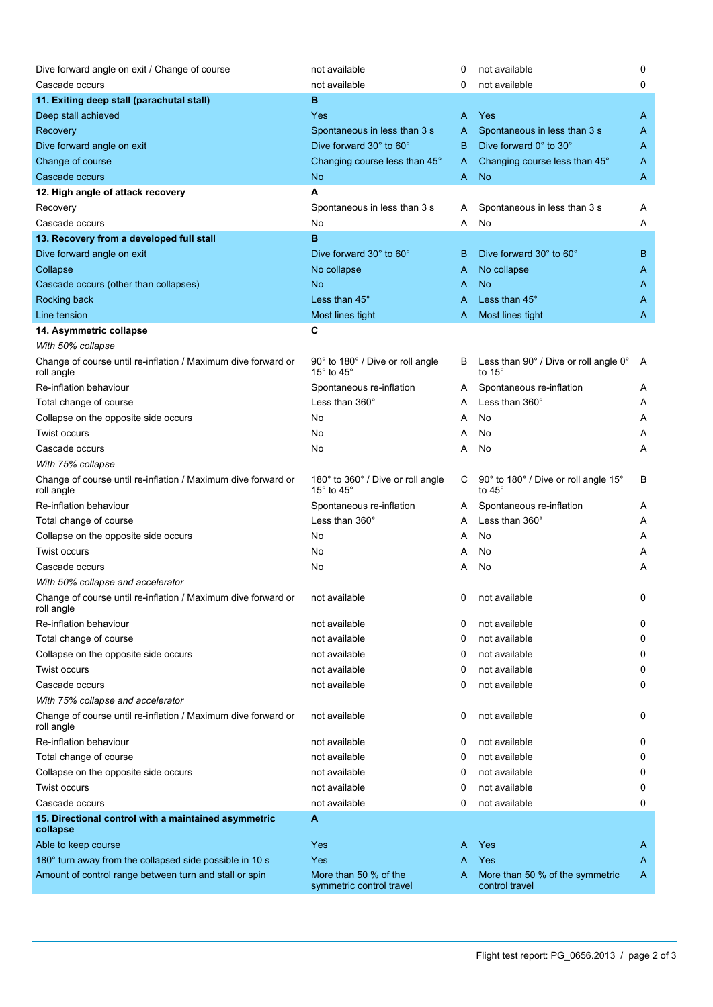| Dive forward angle on exit / Change of course                               | not available                                                    | 0 | not available                                          | 0 |
|-----------------------------------------------------------------------------|------------------------------------------------------------------|---|--------------------------------------------------------|---|
| Cascade occurs                                                              | not available                                                    | 0 | not available                                          | 0 |
| 11. Exiting deep stall (parachutal stall)                                   | в                                                                |   |                                                        |   |
| Deep stall achieved                                                         | Yes                                                              | A | Yes                                                    | A |
| Recovery                                                                    | Spontaneous in less than 3 s                                     | A | Spontaneous in less than 3 s                           | A |
| Dive forward angle on exit                                                  | Dive forward 30° to 60°                                          | B | Dive forward 0° to 30°                                 | A |
| Change of course                                                            | Changing course less than 45°                                    | A | Changing course less than 45°                          | A |
| Cascade occurs                                                              | <b>No</b>                                                        | A | <b>No</b>                                              | A |
| 12. High angle of attack recovery                                           | A                                                                |   |                                                        |   |
| Recovery                                                                    | Spontaneous in less than 3 s                                     | A | Spontaneous in less than 3 s                           | Α |
| Cascade occurs                                                              | No                                                               | Α | No                                                     | Α |
| 13. Recovery from a developed full stall                                    | B                                                                |   |                                                        |   |
| Dive forward angle on exit                                                  | Dive forward 30° to 60°                                          | B | Dive forward 30° to 60°                                | В |
| Collapse                                                                    | No collapse                                                      | A | No collapse                                            | A |
| Cascade occurs (other than collapses)                                       | <b>No</b>                                                        | A | <b>No</b>                                              | A |
| Rocking back                                                                | Less than 45°                                                    | A | Less than 45°                                          | A |
| Line tension                                                                | Most lines tight                                                 | A | Most lines tight                                       | A |
| 14. Asymmetric collapse                                                     | C                                                                |   |                                                        |   |
| With 50% collapse                                                           |                                                                  |   |                                                        |   |
| Change of course until re-inflation / Maximum dive forward or<br>roll angle | 90° to 180° / Dive or roll angle<br>15 $\degree$ to 45 $\degree$ | B | Less than 90° / Dive or roll angle 0°<br>to $15^\circ$ | A |
| Re-inflation behaviour                                                      | Spontaneous re-inflation                                         | A | Spontaneous re-inflation                               | A |
| Total change of course                                                      | Less than $360^\circ$                                            | A | Less than 360°                                         | Α |
| Collapse on the opposite side occurs                                        | No                                                               | Α | No                                                     | A |
| Twist occurs                                                                | No                                                               | A | No                                                     | Α |
| Cascade occurs                                                              | No                                                               | Α | No                                                     | Α |
| With 75% collapse                                                           |                                                                  |   |                                                        |   |
| Change of course until re-inflation / Maximum dive forward or<br>roll angle | 180° to 360° / Dive or roll angle<br>15° to 45°                  | С | 90° to 180° / Dive or roll angle 15°<br>to $45^\circ$  | В |
| Re-inflation behaviour                                                      | Spontaneous re-inflation                                         | A | Spontaneous re-inflation                               | Α |
| Total change of course                                                      | Less than 360°                                                   | A | Less than 360°                                         | A |
| Collapse on the opposite side occurs                                        | No                                                               | Α | No                                                     | A |
| Twist occurs                                                                | No                                                               | Α | No                                                     | A |
| Cascade occurs                                                              | No                                                               | A | No                                                     | Α |
| With 50% collapse and accelerator                                           |                                                                  |   |                                                        |   |
| Change of course until re-inflation / Maximum dive forward or<br>roll angle | not available                                                    | 0 | not available                                          |   |
| Re-inflation behaviour                                                      | not available                                                    | 0 | not available                                          | 0 |
| Total change of course                                                      | not available                                                    | 0 | not available                                          | 0 |
| Collapse on the opposite side occurs                                        | not available                                                    | 0 | not available                                          | 0 |
| Twist occurs                                                                | not available                                                    | 0 | not available                                          | 0 |
| Cascade occurs                                                              | not available                                                    | 0 | not available                                          | 0 |
| With 75% collapse and accelerator                                           |                                                                  |   |                                                        |   |
| Change of course until re-inflation / Maximum dive forward or<br>roll angle | not available                                                    | 0 | not available                                          | 0 |
| Re-inflation behaviour                                                      | not available                                                    | 0 | not available                                          | 0 |
| Total change of course                                                      | not available                                                    | 0 | not available                                          | 0 |
| Collapse on the opposite side occurs                                        | not available                                                    | 0 | not available                                          | 0 |
| Twist occurs                                                                | not available                                                    | 0 | not available                                          | 0 |
| Cascade occurs                                                              | not available                                                    | 0 | not available                                          | 0 |
| 15. Directional control with a maintained asymmetric<br>collapse            | A                                                                |   |                                                        |   |
| Able to keep course                                                         | Yes                                                              | A | Yes                                                    | A |
| 180° turn away from the collapsed side possible in 10 s                     | Yes                                                              | A | Yes                                                    | A |
| Amount of control range between turn and stall or spin                      | More than 50 % of the<br>symmetric control travel                | A | More than 50 % of the symmetric<br>control travel      | A |